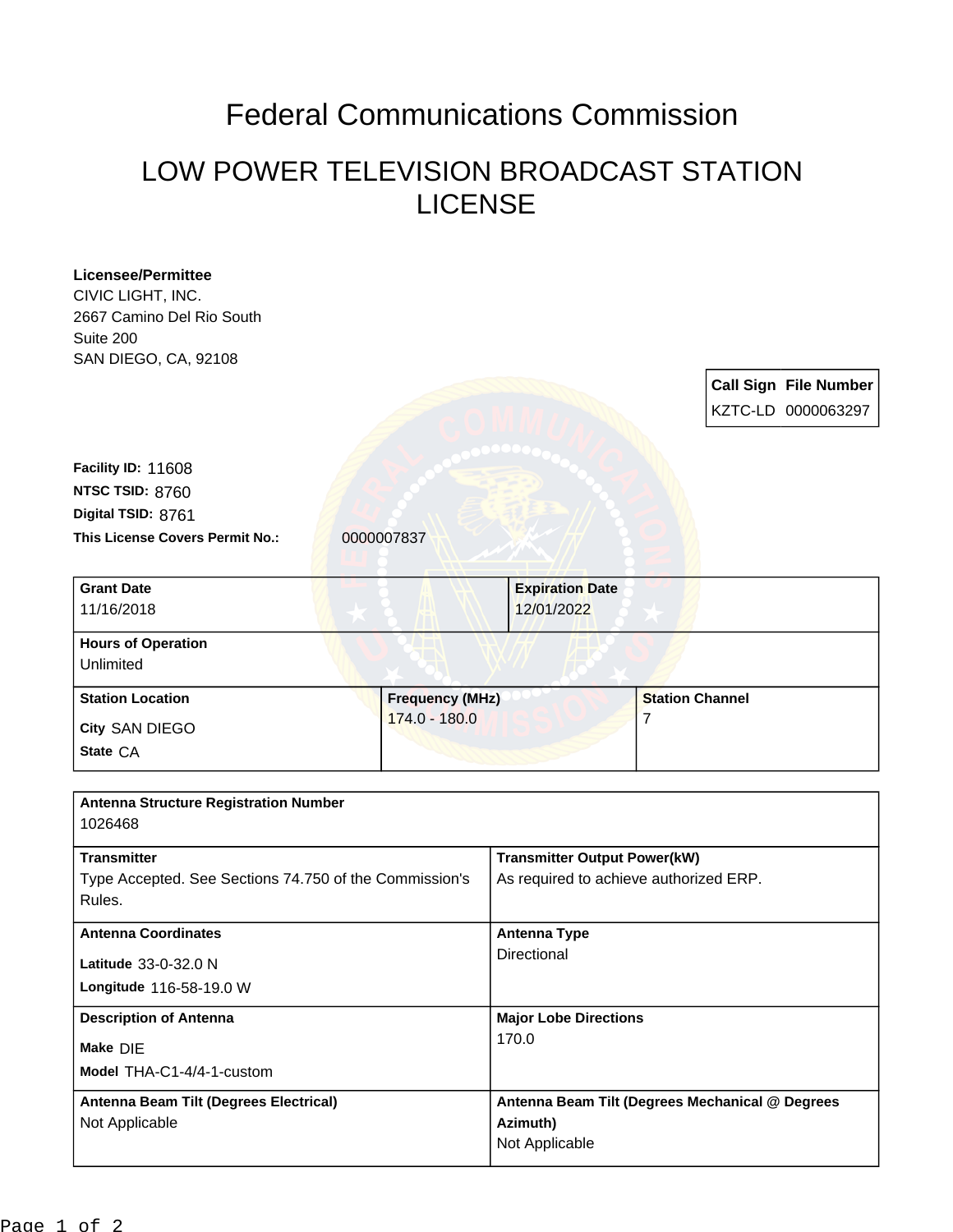## Federal Communications Commission

## LOW POWER TELEVISION BROADCAST STATION LICENSE

| CIVIC LIGHT, INC.                                       |                        |                                     |                                                 |
|---------------------------------------------------------|------------------------|-------------------------------------|-------------------------------------------------|
|                                                         |                        |                                     |                                                 |
| 2667 Camino Del Rio South                               |                        |                                     |                                                 |
| Suite 200                                               |                        |                                     |                                                 |
| SAN DIEGO, CA, 92108                                    |                        |                                     |                                                 |
|                                                         |                        |                                     | <b>Call Sign File Number</b>                    |
|                                                         |                        |                                     | KZTC-LD 0000063297                              |
|                                                         |                        |                                     |                                                 |
| Facility ID: 11608                                      |                        |                                     |                                                 |
| NTSC TSID: 8760                                         |                        |                                     |                                                 |
| Digital TSID: 8761                                      |                        |                                     |                                                 |
| This License Covers Permit No.:                         | 0000007837             |                                     |                                                 |
|                                                         |                        |                                     |                                                 |
| <b>Grant Date</b>                                       |                        | <b>Expiration Date</b>              |                                                 |
| 11/16/2018                                              |                        | 12/01/2022                          |                                                 |
|                                                         |                        |                                     |                                                 |
| <b>Hours of Operation</b><br>Unlimited                  |                        |                                     |                                                 |
|                                                         |                        |                                     |                                                 |
| <b>Station Location</b>                                 | <b>Frequency (MHz)</b> |                                     | <b>Station Channel</b>                          |
| City SAN DIEGO                                          | 174.0 - 180.0          |                                     | 7                                               |
| State CA                                                |                        |                                     |                                                 |
|                                                         |                        |                                     |                                                 |
|                                                         |                        |                                     |                                                 |
|                                                         |                        |                                     |                                                 |
| <b>Antenna Structure Registration Number</b><br>1026468 |                        |                                     |                                                 |
|                                                         |                        |                                     |                                                 |
| <b>Transmitter</b>                                      |                        | <b>Transmitter Output Power(kW)</b> |                                                 |
| Type Accepted. See Sections 74.750 of the Commission's  |                        |                                     | As required to achieve authorized ERP.          |
| Rules.                                                  |                        |                                     |                                                 |
| <b>Antenna Coordinates</b>                              |                        | <b>Antenna Type</b>                 |                                                 |
| Latitude 33-0-32.0 N                                    |                        | Directional                         |                                                 |
| Longitude 116-58-19.0 W                                 |                        |                                     |                                                 |
| <b>Description of Antenna</b>                           |                        | <b>Major Lobe Directions</b>        |                                                 |
|                                                         |                        | 170.0                               |                                                 |
| Make DIE                                                |                        |                                     |                                                 |
| Model THA-C1-4/4-1-custom                               |                        |                                     |                                                 |
| Antenna Beam Tilt (Degrees Electrical)                  |                        |                                     | Antenna Beam Tilt (Degrees Mechanical @ Degrees |
| Not Applicable                                          |                        | Azimuth)<br>Not Applicable          |                                                 |